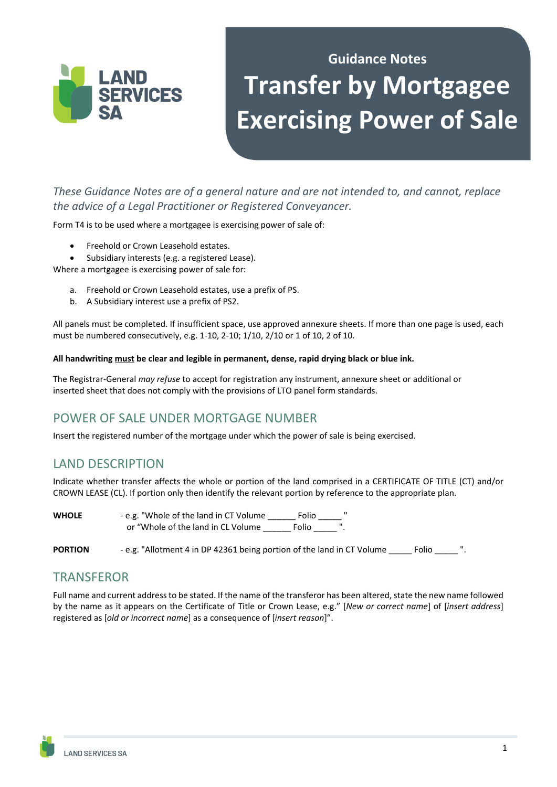

# **Guidance Notes Transfer by Mortgagee Exercising Power of Sale**

*These Guidance Notes are of a general nature and are not intended to, and cannot, replace the advice of a Legal Practitioner or Registered Conveyancer.*

Form T4 is to be used where a mortgagee is exercising power of sale of:

- Freehold or Crown Leasehold estates.
- Subsidiary interests (e.g. a registered Lease).

Where a mortgagee is exercising power of sale for:

- a. Freehold or Crown Leasehold estates, use a prefix of PS.
- b. A Subsidiary interest use a prefix of PS2.

All panels must be completed. If insufficient space, use approved annexure sheets. If more than one page is used, each must be numbered consecutively, e.g. 1-10, 2-10; 1/10, 2/10 or 1 of 10, 2 of 10.

#### **All handwriting must be clear and legible in permanent, dense, rapid drying black or blue ink.**

The Registrar-General *may refuse* to accept for registration any instrument, annexure sheet or additional or inserted sheet that does not comply with the provisions of LTO panel form standards.

## POWER OF SALE UNDER MORTGAGE NUMBER

Insert the registered number of the mortgage under which the power of sale is being exercised.

### LAND DESCRIPTION

Indicate whether transfer affects the whole or portion of the land comprised in a CERTIFICATE OF TITLE (CT) and/or CROWN LEASE (CL). If portion only then identify the relevant portion by reference to the appropriate plan.

| <b>WHOLE</b> | - e.g. "Whole of the land in CT Volume | Folio |  |
|--------------|----------------------------------------|-------|--|
|              | or "Whole of the land in CL Volume"    | Folio |  |

**PORTION** - e.g. "Allotment 4 in DP 42361 being portion of the land in CT Volume Folio  $\blacksquare$ ".

### **TRANSFEROR**

Full name and current address to be stated. If the name of the transferor has been altered, state the new name followed by the name as it appears on the Certificate of Title or Crown Lease, e.g." [*New or correct name*] of [*insert address*] registered as [*old or incorrect name*] as a consequence of [*insert reason*]".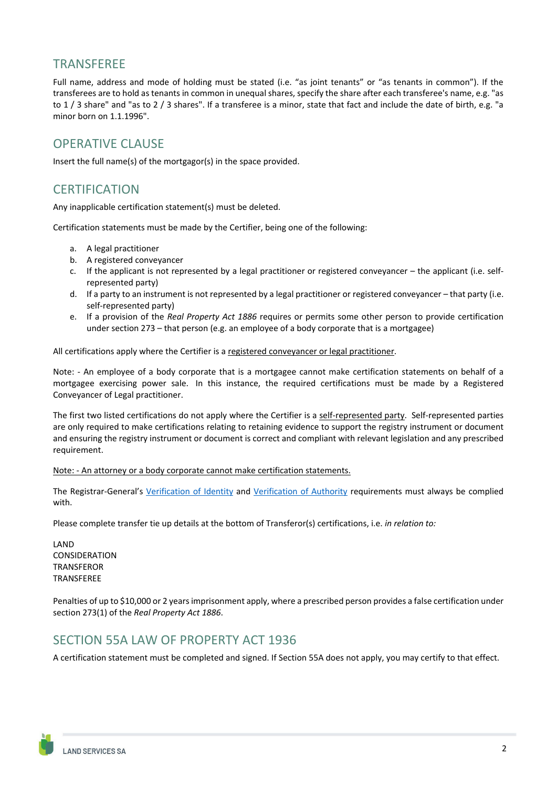#### TRANSFEREE

Full name, address and mode of holding must be stated (i.e. "as joint tenants" or "as tenants in common"). If the transferees are to hold as tenants in common in unequal shares, specify the share after each transferee's name, e.g. "as to 1 / 3 share" and "as to 2 / 3 shares". If a transferee is a minor, state that fact and include the date of birth, e.g. "a minor born on 1.1.1996".

#### OPERATIVE CLAUSE

Insert the full name(s) of the mortgagor(s) in the space provided.

#### **CERTIFICATION**

Any inapplicable certification statement(s) must be deleted.

Certification statements must be made by the Certifier, being one of the following:

- a. A legal practitioner
- b. A registered conveyancer
- c. If the applicant is not represented by a legal practitioner or registered conveyancer the applicant (i.e. selfrepresented party)
- d. If a party to an instrument is not represented by a legal practitioner or registered conveyancer that party (i.e. self-represented party)
- e. If a provision of the *Real Property Act 1886* requires or permits some other person to provide certification under section 273 – that person (e.g. an employee of a body corporate that is a mortgagee)

All certifications apply where the Certifier is a registered conveyancer or legal practitioner.

Note: - An employee of a body corporate that is a mortgagee cannot make certification statements on behalf of a mortgagee exercising power sale. In this instance, the required certifications must be made by a Registered Conveyancer of Legal practitioner.

The first two listed certifications do not apply where the Certifier is a self-represented party. Self-represented parties are only required to make certifications relating to retaining evidence to support the registry instrument or document and ensuring the registry instrument or document is correct and compliant with relevant legislation and any prescribed requirement.

Note: - An attorney or a body corporate cannot make certification statements.

The Registrar-General's Verification of Identity and Verification of Authority requirements must always be complied with.

Please complete transfer tie up details at the bottom of Transferor(s) certifications, i.e. *in relation to:*

LAND CONSIDERATION **TRANSFEROR** TRANSFEREE

Penalties of up to \$10,000 or 2 years imprisonment apply, where a prescribed person provides a false certification under section 273(1) of the *Real Property Act 1886*.

#### SECTION 55A LAW OF PROPERTY ACT 1936

A certification statement must be completed and signed. If Section 55A does not apply, you may certify to that effect.